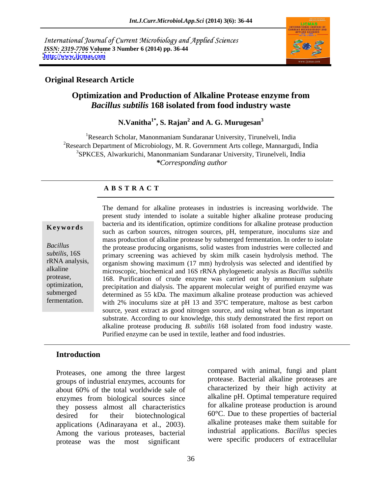International Journal of Current Microbiology and Applied Sciences *ISSN: 2319-7706* **Volume 3 Number 6 (2014) pp. 36-44 <http://www.ijcmas.com>**



### **Original Research Article**

# **Optimization and Production of Alkaline Protease enzyme from**  *Bacillus subtilis* **168 isolated from food industry waste**

**N.Vanitha1\* , S. Rajan<sup>2</sup> and A. G. Murugesan<sup>3</sup>**

<sup>1</sup>Research Scholar, Manonmaniam Sundaranar University, Tirunelveli, India <sup>2</sup>Research Department of Microbiology, M. R. Government Arts college, Mannargudi, India 3SPKCES, Alwarkurichi, Manonmaniam Sundaranar University, Tirunelveli, India *\*Corresponding author* 

### **A B S T R A C T**

**Keywords** such as carbon sources, nitrogen sources, pH, temperature, inoculums size and such as carbon sources, nitrogen sources, pH, temperature, inoculums size and *Bacillus*  the protease producing organisms, solid wastes from industries were collected and subtilis, 16S primary screening was achieved by skim milk casein hydrolysis method. The rRNA analysis, organism showing maximum (17 mm) hydrolysis was selected and identified by alkaline microscopic, biochemical and 16S rRNA phylogenetic analysis as *Bacillus subtilis* protease, 168. Purification of crude enzyme was carried out by ammonium sulphate optimization, precipitation and dialysis. The apparent molecular weight of purified enzyme was submerged determined as 55 kDa. The maximum alkaline protease production was achieved fermentation. with 2% inoculums size at pH 13 and 35ºC temperature, maltose as best carbon The demand for alkaline proteases in industries is increasing worldwide. The present study intended to isolate a suitable higher alkaline protease producing bacteria and its identification, optimize conditions for alkaline protease production mass production of alkaline protease by submerged fermentation. In order to isolate source, yeast extract as good nitrogen source, and using wheat bran as important substrate. According to our knowledge, this study demonstrated the first report on alkaline protease producing *B. subtilis* 168 isolated from food industry waste. Purified enzyme can be used in textile, leather and food industries.

### **Introduction**

Proteases, one among the three largest groups of industrial enzymes, accounts for about 60% of the total worldwide sale of enzymes from biological sources since they possess almost all characteristics desired for their biotechnological 60°C. Due to these properties of bacterial applications (Adinarayana et al., 2003). Among the various proteases, bacterial protease was the most significant were specific producers of extracellular

compared with animal, fungi and plant protease. Bacterial alkaline proteases are characterized by their high activity at alkaline pH. Optimal temperature required for alkaline protease production is around alkaline proteases make them suitable for industrial applications. *Bacillus* species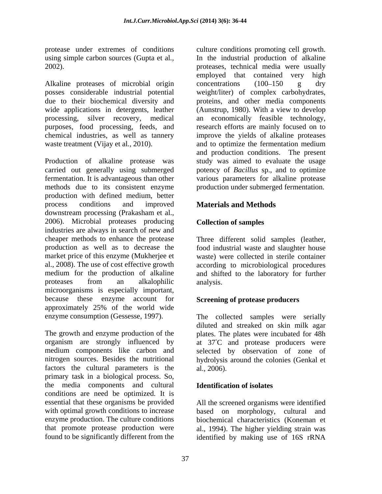posses considerable industrial potential weight/liter) of complex carbohydrates, due to their biochemical diversity and proteins, and other media components wide applications in detergents, leather (Aunstrup, 1980). With a view to develop processing, silver recovery, medical an economically feasible technology, purposes, food processing, feeds, and research efforts are mainly focused on to chemical industries, as well as tannery improve the yields of alkaline proteases waste treatment (Vijay et al., 2010). and to optimize the fermentation medium

Production of alkaline protease was carried out generally using submerged potency of *Bacillus* sp., and to optimize fermentation. It is advantageous than other various parameters for alkaline protease methods due to its consistent enzyme production with defined medium, better process conditions and improved **Materials and Methods** downstream processing (Prakasham et al., 2006). Microbial proteases producing industries are always in search of new and cheaper methods to enhance the protease Three different solid samples (leather, production as well as to decrease the food industrial waste and slaughter house market price of this enzyme (Mukherjee et al., 2008). The use of cost effective growth according to microbiological procedures medium for the production of alkaline and shifted to the laboratory for further proteases from an alkalophilic microorganisms is especially important, because these enzyme account for approximately 25% of the world wide

The growth and enzyme production of the plates. The plates were incubated for 48h organism are strongly influenced by at 37 C and protease producers were medium components like carbon and selected by observation of zone of nitrogen sources. Besides the nutritional hydrolysis around the colonies (Genkal et factors the cultural parameters is the al., 2006). primary task in a biological process. So, the media components and cultural conditions are need be optimized. It is essential that these organisms be provided All the screened organisms were identified with optimal growth conditions to increase based on morphology, cultural and enzyme production. The culture conditions biochemical characteristics (Koneman et that promote protease production were al., 1994). The higher yielding strain was

protease under extremes of conditions culture conditions promoting cell growth. using simple carbon sources (Gupta et al*.,* In the industrial production of alkaline 2002). proteases, technical media were usually Alkaline proteases of microbial origin concentrations (100–150 g dry employed that contained very high  $concentrations$   $(100-150$  g dry and to optimize the fermentation medium and production conditions. The present study was aimed to evaluate the usage production under submerged fermentation.

# **Materials and Methods**

## **Collection of samples**

waste) were collected in sterile container analysis.

# **Screening of protease producers**

enzyme consumption (Gessesse, 1997). The collected samples were serially diluted and streaked on skin milk agar al., 2006).

### **Identification of isolates**

found to be significantly different from the identified by making use of 16S rRNA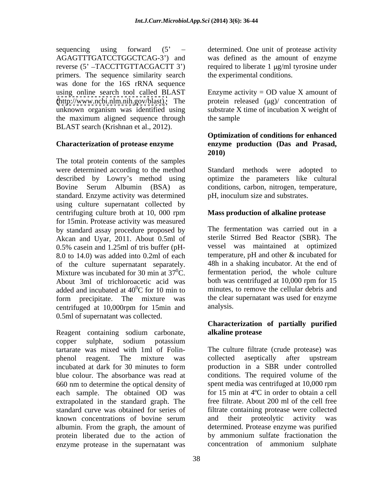sequencing using forward  $(5' -$  determined. One unit of protease activity AGAGTTTGATCCTGGCTCAG-3 ) and was defined as the amount of enzyme reverse (5' -TACCTTGTTACGACTT 3') required to liberate 1 µg/ml tyrosine under primers. The sequence similarity search was done for the 16S rRNA sequence the maximum aligned sequence through BLAST search (Krishnan et al., 2012).

The total protein contents of the samples were determined according to the method Standard methods were adopted to described by Lowry s method using optimize the parameters like cultural Bovine Serum Albumin (BSA) as conditions, carbon, nitrogen, temperature, standard. Enzyme activity was determined using culture supernatant collected by centrifuging culture broth at 10, 000 rpm for 15min. Protease activity was measured by standard assay procedure proposed by Akcan and Uyar, 2011. About 0.5ml of 0.5% casein and 1.25ml of tris buffer (pH- 8.0 to 14.0) was added into 0.2ml of each of the culture supernatant separately. Mixture was incubated for 30 min at  $37^{\circ}$ C. About 3ml of trichloroacetic acid was added and incubated at  $40^{\circ}$ C for 10 min to form precipitate. The mixture was centrifuged at 10,000rpm for 15min and 0.5ml of supernatant was collected.

Reagent containing sodium carbonate, alkaline protease copper sulphate, sodium potassium tartarate was mixed with 1ml of Folin- The culture filtrate (crude protease) was phenol reagent. The mixture was collected aseptically after upstream incubated at dark for 30 minutes to form blue colour. The absorbance was read at conditions. The required volume of the 660 nm to determine the optical density of each sample. The obtained OD was extrapolated in the standard graph. The standard curve was obtained for series of filtrate containing protease were collected known concentrations of bovine serum albumin. From the graph, the amount of protein liberated due to the action of by ammonium sulfate fractionation the enzyme protease in the supernatant was concentration of ammonium sulphate

the experimental conditions.

using online search tool called BLAST Enzyme activity = OD value X amount of [\(http://www.ncbi.nlm.nih.gov/blast\).](http://www.ncbi.nlm.nih.gov/blast) The protein released (µg)/ concentration of unknown organism was identified using substrate X time of incubation X weight of the sample state of the sample of the sample

## **Characterization of protease enzyme enzyme production (Das and Prasad, Optimization of conditions for enhanced 2010)**

Standard methods were adopted to pH, inoculum size and substrates.

# **Mass production of alkaline protease**

 ${}^{0}$ C. fermentation period, the whole culture  ${}^{0}C$  for 10 min to minutes, to remove the cellular debris and The fermentation was carried out in a sterile Stirred Bed Reactor (SBR). The vessel was maintained at optimized temperature, pH and other & incubated for 48h in a shaking incubator. At the end of both was centrifuged at 10,000 rpm for 15 the clear supernatant was used for enzyme analysis.

## **Characterization of partially purified alkaline protease**

collected aseptically after upstream production in a SBR under controlled spent media was centrifuged at 10,000 rpm for 15 min at 4ºC in order to obtain a cell free filtrate. About 200 ml of the cell free and their proteolytic activity was determined. Protease enzyme was purified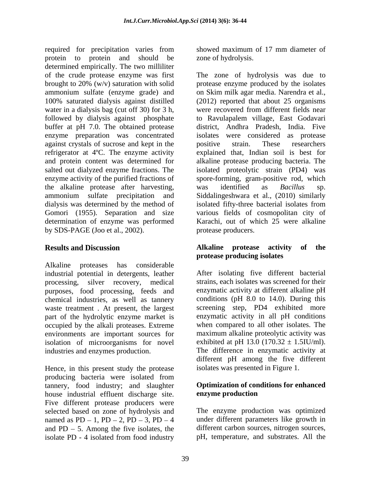required for precipitation varies from showed maximum of 17 mm diameter of protein to protein and should be determined empirically. The two milliliter of the crude protease enzyme was first The zone of hydrolysis was due to brought to 20% (w/v) saturation with solid protease enzyme produced by the isolates ammonium sulfate (enzyme grade) and on Skim milk agar media. Narendra et al., 100% saturated dialysis against distilled (2012) reported that about 25 organisms water in a dialysis bag (cut off 30) for 3 h, followed by dialysis against phosphate to Ravulapalem village, East Godavari buffer at pH 7.0. The obtained protease enzyme preparation was concentrated against crystals of sucrose and kept in the positive strain. These researchers refrigerator at 4ºC. The enzyme activity explained that, Indian soil is best for and protein content was determined for alkaline protease producing bacteria. The salted out dialyzed enzyme fractions. The enzyme activity of the purified fractions of spore-forming, gram-positive rod, which the alkaline protease after harvesting, was identified as *Bacillus* sp. ammonium sulfate precipitation and Siddalingeshwara et al., (2010) similarly dialysis was determined by the method of isolated fifty-three bacterial isolates from Gomori (1955). Separation and size various fields of cosmopolitan city of determination of enzyme was performed Karachi, out of which 25 were alkaline by SDS-PAGE (Joo et al., 2002).

Alkaline proteases has considerable industrial potential in detergents, leather processing, silver recovery, medical purposes, food processing, feeds and chemical industries, as well as tannery waste treatment . At present, the largest part of the hydrolytic enzyme market is occupied by the alkali proteases. Extreme environments are important sources for isolation of microorganisms for novel industries and enzymes production.

Hence, in this present study the protease producing bacteria were isolated from tannery, food industry; and slaughter house industrial effluent discharge site. Five different protease producers were selected based on zone of hydrolysis and<br>named as  $PD - 1$ ,  $PD - 2$ ,  $PD - 3$ ,  $PD - 4$ named as  $PD-1$ ,  $PD-2$ ,  $PD-3$ ,  $PD-4$  under different parameters like growth in and  $PD - 5$ . Among the five isolates, the isolate PD - 4 isolated from food industry

showed maximum of 17 mm diameter of zone of hydrolysis.

protease enzyme produced by the isolates on Skim milk agar media. Narendra et al., (2012) reported that about <sup>25</sup> organisms were recovered from different fields near district, Andhra Pradesh, India. Five isolates were considered as protease positive strain. These researchers isolated proteolytic strain (PD4) was was identified as *Bacillus* sp. isolated fifty-three bacterial isolates from protease producers.

### **Results and Discussion Alkaline protease activity of the protease producing isolates**

After isolating five different bacterial strains, each isolates was screened for their enzymatic activity at different alkaline pH conditions (pH 8.0 to 14.0). During this screening step, PD4 exhibited more enzymatic activity in all pH conditions when compared to all other isolates. The maximum alkaline proteolytic activity was exhibited at pH 13.0 (170.32  $\pm$  1.5IU/ml). The difference in enzymatic activity at different pH among the five different isolates was presented in Figure 1.

## **Optimization of conditions for enhanced enzyme production**

The enzyme production was optimized under different parameters like growth in different carbon sources, nitrogen sources, pH, temperature, and substrates. All the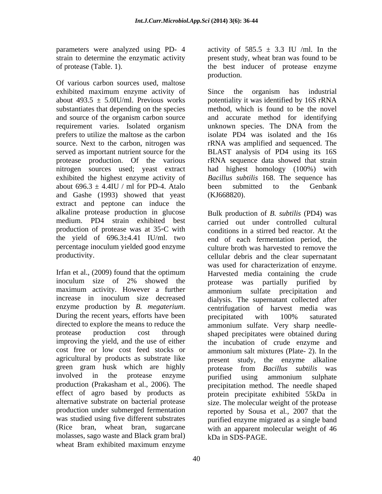strain to determine the enzymatic activity

Of various carbon sources used, maltose exhibited maximum enzyme activity of Since the organism has industrial prefers to utilize the maltose as the carbon served as important nutrient source for the about  $696.3 \pm 4.4$ IU / ml for PD-4. Atalo been submitted to the Genbank and Gashe (1993) showed that yeast extract and peptone can induce the alkaline protease production in glucose<br>medium. PD4 strain exhibited best production of protease was at 35°C with the yield of  $696.3\pm4.41$  IU/ml. two percentage inoculum yielded good enzyme

directed to explore the means to reduce the green gram husk which are highly **protease** from *Bacillus subtilis* was involved in the protease enzyme purified using ammonium sulphate molasses, sago waste and Black gram bral) wheat Bram exhibited maximum enzyme

parameters were analyzed using PD- 4 activity of  $585.5 \pm 3.3$  IU /ml. In the of protease (Table. 1). the best inducer of protease enzyme present study, wheat bran was found to be production.

about  $493.5 \pm 5.0$ IU/ml. Previous works potentiality it was identified by 16S rRNA substantiates that depending on the species method, which is found to be the novel and source of the organism carbon source and accurate method for identifying requirement varies. Isolated organism unknown species. The DNA from the source. Next to the carbon, nitrogen was rRNA was amplified and sequenced. The protease production. Of the various rRNA sequence data showed that strain nitrogen sources used; yeast extract had highest homology (100%) with exhibited the highest enzyme activity of *Bacillus subtilis* 168. The sequence has Since the organism has industrial isolate PD4 was isolated and the 16s BLAST analysis of PD4 using its 16S been submitted to the Genbank (KJ668820).

medium. PD4 strain exhibited best carried out under controlled cultural productivity. cellular debris and the clear supernatant Irfan et al., (2009) found that the optimum Harvested media containing the crude inoculum size of 2% showed the by protease was partially purified by maximum activity. However a further ammonium sulfate precipitation and increase in inoculum size decreased dialysis. The supernatant collected after enzyme production by *B. megaterium*. centrifugation of harvest media was<br>During the recent years, efforts have been been precipitated with 100% saturated protease production cost through shaped precipitates were obtained during improving the yield, and the use of either the incubation of crude enzyme and cost free or low cost feed stocks or ammonium salt mixtures (Plate- 2). In the agricultural by products as substrate like present study, the enzyme alkaline production (Prakasham et al., 2006). The precipitation method. The needle shaped effect of agro based by products as protein precipitate exhibited 55kDa in alternative substrate on bacterial protease size. The molecular weight of the protease production under submerged fermentation reported by Sousa et al*.,* 2007 that the was studied using five different substrates purified enzyme migrated as a single band (Rice bran, wheat bran, sugarcane with an apparent molecular weight of 46 Bulk production of *B. subtilis* (PD4) was conditions in a stirred bed reactor. At the end of each fermentation period, the culture broth was harvested to remove the was used for characterization of enzyme. Harvested media containing the crude protease was partially purified by centrifugation of harvest media was precipitated with 100% saturated ammonium sulfate. Very sharp needle protease from *Bacillus subtilis* was purified using ammonium sulphate kDa in SDS-PAGE.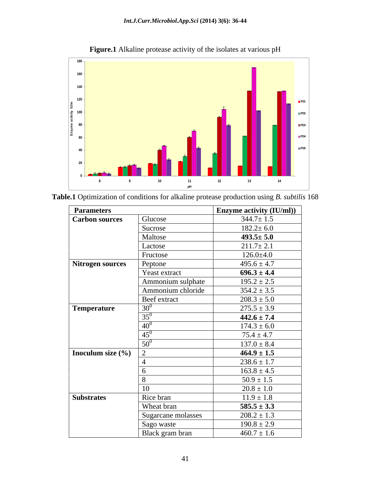

| Table.1 O | 168<br>mization of conditions for alkaline protease production using B, <i>subtilis</i> 1<br>⊥ ∪ |  |
|-----------|--------------------------------------------------------------------------------------------------|--|
|           |                                                                                                  |  |

| <b>Parameters</b>       |                    | Enzyme activity (IU/ml)) |
|-------------------------|--------------------|--------------------------|
| <b>Carbon sources</b>   | Glucose            | $344.7 \pm 1.5$          |
|                         | Sucrose            | $182.2 \pm 6.0$          |
|                         | Maltose            | $493.5 \pm 5.0$          |
|                         | Lactose            | $211.7 \pm 2.1$          |
|                         | Fructose           | $126.0 \pm 4.0$          |
| <b>Nitrogen sources</b> | Peptone            | $495.6 \pm 4.7$          |
|                         | Yeast extract      | $696.3 \pm 4.4$          |
|                         | Ammonium sulphate  | $195.2 \pm 2.5$          |
|                         | Ammonium chloride  | $354.2 \pm 3.5$          |
|                         | Beef extract       | $208.3 \pm 5.0$          |
| Temperature             | $30^0$             | $275.5 \pm 3.9$          |
|                         | $35^0$             | $442.6 \pm 7.4$          |
|                         | $40^0$             | $174.3 \pm 6.0$          |
|                         | $45^0$             | $75.4 \pm 4.7$           |
|                         | $50^0$             | $137.0 \pm 8.4$          |
| Inoculum size (%)       | 2                  | $464.9 \pm 1.5$          |
|                         |                    | $238.6 \pm 1.7$          |
|                         | 6                  | $163.8 \pm 4.5$          |
|                         | 8                  | $50.9 \pm 1.5$           |
|                         | 10                 | $20.8 \pm 1.0$           |
| <b>Substrates</b>       | Rice bran          | $11.9 \pm 1.8$           |
|                         | Wheat bran         | $585.5 \pm 3.3$          |
|                         | Sugarcane molasses | $208.2 \pm 1.3$          |
|                         | Sago waste         | $190.8 \pm 2.9$          |
|                         | Black gram bran    | $460.7 \pm 1.6$          |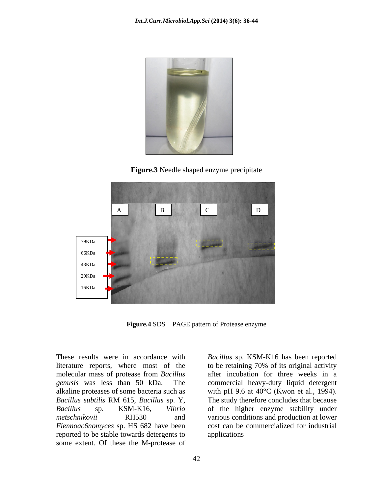

**Figure.3** Needle shaped enzyme precipitate



**Figure.4** SDS – PAGE pattern of Protease enzyme

*Fiennoac6nomyces* sp. HS 682 have been reported to be stable towards detergents to some extent. Of these the M-protease of

These results were in accordance with *Bacillus* sp. KSM-K16 has been reported literature reports, where most of the to be retaining 70% of its original activity molecular mass of protease from *Bacillus*  after incubation for three weeks in a *genusis* was less than 50 kDa. The commercial heavy-duty liquid detergent alkaline proteases of some bacteria such as with pH 9.6 at 40°C (Kwon et al., 1994). *Bacillus subtilis* RM 615, *Bacillus* sp. Y, *Bacillus* sp. KSM-K16, *Vibrio*  of the higher enzyme stability under *metschnikovii* RH530 and various conditions and production at lower The study therefore concludes that because cost can be commercialized for industrial applications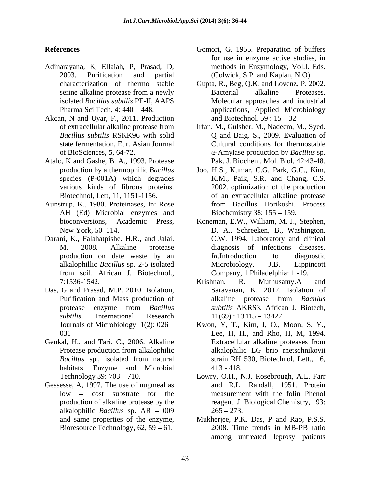- Adinarayana, K, Ellaiah, P, Prasad, D, 2003. Purification and partial (Colwick, S.P. and Kaplan, N.O)
- Akcan, N and Uyar, F., 2011. Production and Biotechnol. 59:15 32
- Atalo, K and Gashe, B. A., 1993. Protease
- AH (Ed) Microbial enzymes and
- Darani, K., Falahatpishe. H.R., and Jalai.
- Das, G and Prasad, M.P. 2010. Isolation,
- Genkal, H., and Tari. C., 2006. Alkaline Extracellular alkaline proteases from habitats. Enzyme and Microbial 413 - 418.
- Gessesse, A, 1997. The use of nugmeal as alkalophilic *Bacillus* sp.  $AR - 009$  265 - 273. Bioresource Technology,  $62$ ,  $59 - 61$ .
- **References** Gomori, G. 1955. Preparation of buffers for use in enzyme active studies, in methods in Enzymology, Vol.I. Eds.
	- characterization of thermo stable Gupta, R., Beg, Q.K. and Lovenz, P. 2002. serine alkaline protease from a newly **Exercical** alkaline Proteases. isolated *Bacillus subtilis* PE-II, AAPS Molecular approaches and industrial Pharma Sci Tech, 4: 440 448. applications, Applied Microbiology Bacterial alkaline Proteases. and Biotechnol.  $59:15-32$
	- of extracellular alkaline protease from Irfan, M., Gulsher. M., Nadeem, M., Syed. *Bacillus subtilis* RSKK96 with solid Q and Baig. S.,2009. Evaluation of state fermentation, Eur. Asian Journal Cultural conditions for thermostable of BioSciences*,* 5, 64-72. -Amylase production by *Bacillus* sp. Pak. J. Biochem. Mol. Biol, 42:43-48.
- production by a thermophilic *Bacillus*  Joo. H.S., Kumar, C.G. Park, G.C., Kim, species (P-001A) which degrades K.M., Paik, S.R. and Chang, C.S. various kinds of fibrous proteins. 2002. optimization of the production Biotechnol, Lett, 11, 1151-1156. of an extracellular alkaline protease Aunstrup, K., 1980. Proteinases, In: Rose from Bacillus Horikoshi. Process Biochemistry 38:  $155 - 159$ .
	- bioconversions, Academic Press, Koneman, E.W., William, M. J., Stephen, New York, 50–114. D. A., Schreeken, B., Washington, M. 2008. Alkaline protease diagnosis of infections diseases. production on date waste by an *In*. Introduction to diagnostic alkalophillic *Bacillus* sp. 2-5 isolated from soil. African J. Biotechnol., C.W. 1994. Laboratory and clinical *In*.Introduction to diagnostic Microbiology. J.B. Lippincott Company, 1 Philadelphia: 1 -19.
	- 7:1536-1542. Purification and Mass production of alkaline protease from *Bacillus* protease enzyme from *Bacillus subtilis.* International Research Krishnan, R. Muthusamy.A and Saravanan, K. 2012. Isolation of alkaline protease from *Bacillus subtilis* AKRS3, African J. Biotech,  $11(69) : 13415 - 13427.$
	- Journals of Microbiology 1(2): 026 Kwon, Y, T., Kim, J, O., Moon, S, Y., 031 Lee, H, H., and Rho, H, M, 1994. Protease production from alkalophilic alkalophilic LG brio rnetschnikovii *Bacillus* sp., isolated from natural strain RH 530, Biotechnol, Lett., 16, Extracellular alkaline proteases from alkalophilic LG brio rnetschnikovii strain RH 530, Biotechnol, Lett., 16, 413 - 418.
	- Technology 39: 703 710. Lowry, O.H., N.J. Rosebrough, A.L. Farr low – cost substrate for the measurement with the folin Phenol production of alkaline protease by the reagent. J. Biological Chemistry, 193: and R.L. Randall, 1951. Protein  $265 - 273$ .
	- and same properties of the enzyme, Mukherjee, P.K. Das, P and Rao, P.S.S. 2008. Time trends in MB-PB ratio among untreated leprosy patients